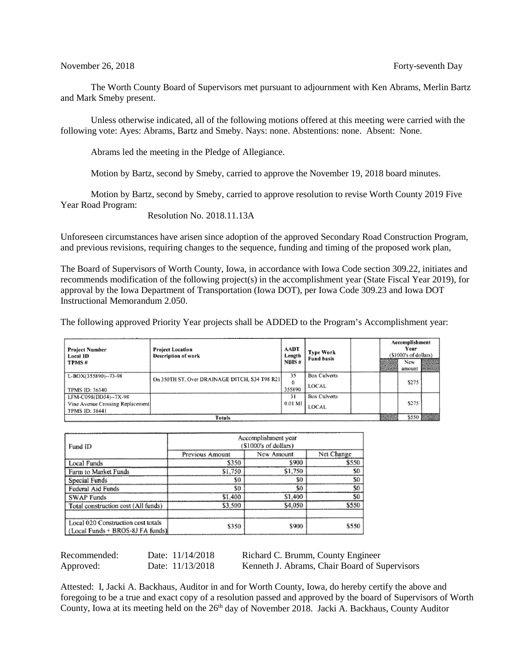## November 26, 2018 **Forty-seventh** Day

The Worth County Board of Supervisors met pursuant to adjournment with Ken Abrams, Merlin Bartz and Mark Smeby present.

Unless otherwise indicated, all of the following motions offered at this meeting were carried with the following vote: Ayes: Abrams, Bartz and Smeby. Nays: none. Abstentions: none. Absent: None.

Abrams led the meeting in the Pledge of Allegiance.

Motion by Bartz, second by Smeby, carried to approve the November 19, 2018 board minutes.

Motion by Bartz, second by Smeby, carried to approve resolution to revise Worth County 2019 Five Year Road Program:

Resolution No. 2018.11.13A

Unforeseen circumstances have arisen since adoption of the approved Secondary Road Construction Program, and previous revisions, requiring changes to the sequence, funding and timing of the proposed work plan,

The Board of Supervisors of Worth County, Iowa, in accordance with Iowa Code section 309.22, initiates and recommends modification of the following project(s) in the accomplishment year (State Fiscal Year 2019), for approval by the Iowa Department of Transportation (Iowa DOT), per Iowa Code 309.23 and Iowa DOT Instructional Memorandum 2.050.

The following approved Priority Year projects shall be ADDED to the Program's Accomplishment year:

| Project Number<br>Local ID<br>TPMS# | Project Location<br>Description of work       | <b>AADT</b><br>Length<br>NBIS# | <b>Type Work</b><br><b>Fund basis</b> |  | ----<br>et til 190<br>an Links | Accomplishment<br>Year<br>(\$1000's of dollars)<br>New<br>amount | and committee<br><b>CONSTRUCT</b> |
|-------------------------------------|-----------------------------------------------|--------------------------------|---------------------------------------|--|--------------------------------|------------------------------------------------------------------|-----------------------------------|
| L-BOX(355890)--73-98                | On 350TH ST, Over DRAINAGE DITCH, S34 T98 R21 | 35                             | <b>Box Culverts</b>                   |  |                                |                                                                  |                                   |
| TPMS ID: 36340                      |                                               | 0<br>355890                    | <b>LOCAL</b>                          |  | \$275                          |                                                                  |                                   |
| LFM-C098(DD34)--7X-98               |                                               | 31                             | <b>Box Culverts</b>                   |  |                                |                                                                  |                                   |
| Vine Avenue Crossing Replacement    |                                               | 0.01 MI                        | LOCAL                                 |  |                                | S275                                                             |                                   |
| TPMS ID: 38441                      |                                               |                                |                                       |  |                                |                                                                  |                                   |
| Totals                              |                                               |                                |                                       |  |                                |                                                                  | 5550                              |

| Fund ID                                                                | Accomplishment year<br>(\$1000's of dollars) |            |                |  |
|------------------------------------------------------------------------|----------------------------------------------|------------|----------------|--|
|                                                                        | Previous Amount                              | New Amount | Net Change     |  |
| Local Funds                                                            | \$350                                        | \$900      | \$550          |  |
| Farm to Market Funds                                                   | \$1.750                                      | \$1,750    | S <sub>0</sub> |  |
| Special Funds                                                          | \$0                                          | SO         | SO             |  |
| Federal Aid Funds                                                      | \$0                                          | \$0        | \$0            |  |
| <b>SWAP Funds</b>                                                      | \$1,400                                      | \$1,400    | S0             |  |
| Total construction cost (All funds)                                    | \$3,500                                      | \$4,050    | \$550          |  |
| Local 020 Construction cost totals<br>(Local Funds + BROS-8J FA funds) | \$350                                        | \$900      | \$550          |  |

Recommended: Date: 11/14/2018 Richard C. Brumm, County Engineer Approved: Date: 11/13/2018 Kenneth J. Abrams, Chair Board of Supervisors

Attested: I, Jacki A. Backhaus, Auditor in and for Worth County, Iowa, do hereby certify the above and foregoing to be a true and exact copy of a resolution passed and approved by the board of Supervisors of Worth County, Iowa at its meeting held on the  $26<sup>th</sup>$  day of November 2018. Jacki A. Backhaus, County Auditor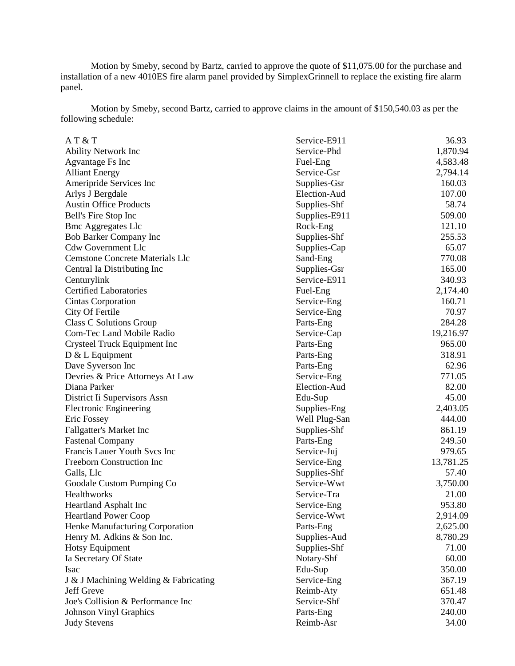Motion by Smeby, second by Bartz, carried to approve the quote of \$11,075.00 for the purchase and installation of a new 4010ES fire alarm panel provided by SimplexGrinnell to replace the existing fire alarm panel.

Motion by Smeby, second Bartz, carried to approve claims in the amount of \$150,540.03 as per the following schedule:

| AT & T                                 | Service-E911  | 36.93     |
|----------------------------------------|---------------|-----------|
| <b>Ability Network Inc</b>             | Service-Phd   | 1,870.94  |
| Agvantage Fs Inc                       | Fuel-Eng      | 4,583.48  |
| <b>Alliant Energy</b>                  | Service-Gsr   | 2,794.14  |
| Ameripride Services Inc                | Supplies-Gsr  | 160.03    |
| Arlys J Bergdale                       | Election-Aud  | 107.00    |
| <b>Austin Office Products</b>          | Supplies-Shf  | 58.74     |
| Bell's Fire Stop Inc                   | Supplies-E911 | 509.00    |
| <b>Bmc Aggregates Llc</b>              | Rock-Eng      | 121.10    |
| Bob Barker Company Inc                 | Supplies-Shf  | 255.53    |
| <b>Cdw Government Llc</b>              | Supplies-Cap  | 65.07     |
| <b>Cemstone Concrete Materials Llc</b> | Sand-Eng      | 770.08    |
| Central Ia Distributing Inc            | Supplies-Gsr  | 165.00    |
| Centurylink                            | Service-E911  | 340.93    |
| <b>Certified Laboratories</b>          | Fuel-Eng      | 2,174.40  |
| Cintas Corporation                     | Service-Eng   | 160.71    |
| City Of Fertile                        | Service-Eng   | 70.97     |
| Class C Solutions Group                | Parts-Eng     | 284.28    |
| <b>Com-Tec Land Mobile Radio</b>       | Service-Cap   | 19,216.97 |
| Crysteel Truck Equipment Inc           | Parts-Eng     | 965.00    |
| D & L Equipment                        | Parts-Eng     | 318.91    |
| Dave Syverson Inc                      | Parts-Eng     | 62.96     |
| Devries & Price Attorneys At Law       | Service-Eng   | 771.05    |
| Diana Parker                           | Election-Aud  | 82.00     |
| District Ii Supervisors Assn           | Edu-Sup       | 45.00     |
| <b>Electronic Engineering</b>          | Supplies-Eng  | 2,403.05  |
| Eric Fossey                            | Well Plug-San | 444.00    |
| <b>Fallgatter's Market Inc</b>         | Supplies-Shf  | 861.19    |
| <b>Fastenal Company</b>                | Parts-Eng     | 249.50    |
| Francis Lauer Youth Svcs Inc           | Service-Juj   | 979.65    |
| Freeborn Construction Inc              | Service-Eng   | 13,781.25 |
| Galls, Llc                             | Supplies-Shf  | 57.40     |
| Goodale Custom Pumping Co              | Service-Wwt   | 3,750.00  |
| Healthworks                            | Service-Tra   | 21.00     |
| <b>Heartland Asphalt Inc</b>           | Service-Eng   | 953.80    |
| <b>Heartland Power Coop</b>            | Service-Wwt   | 2,914.09  |
| Henke Manufacturing Corporation        | Parts-Eng     | 2,625.00  |
| Henry M. Adkins & Son Inc.             | Supplies-Aud  | 8,780.29  |
| <b>Hotsy Equipment</b>                 | Supplies-Shf  | 71.00     |
| Ia Secretary Of State                  | Notary-Shf    | 60.00     |
| Isac                                   | Edu-Sup       | 350.00    |
| J & J Machining Welding & Fabricating  | Service-Eng   | 367.19    |
| Jeff Greve                             | Reimb-Aty     | 651.48    |
| Joe's Collision & Performance Inc      | Service-Shf   | 370.47    |
| <b>Johnson Vinyl Graphics</b>          | Parts-Eng     | 240.00    |
| <b>Judy Stevens</b>                    | Reimb-Asr     | 34.00     |